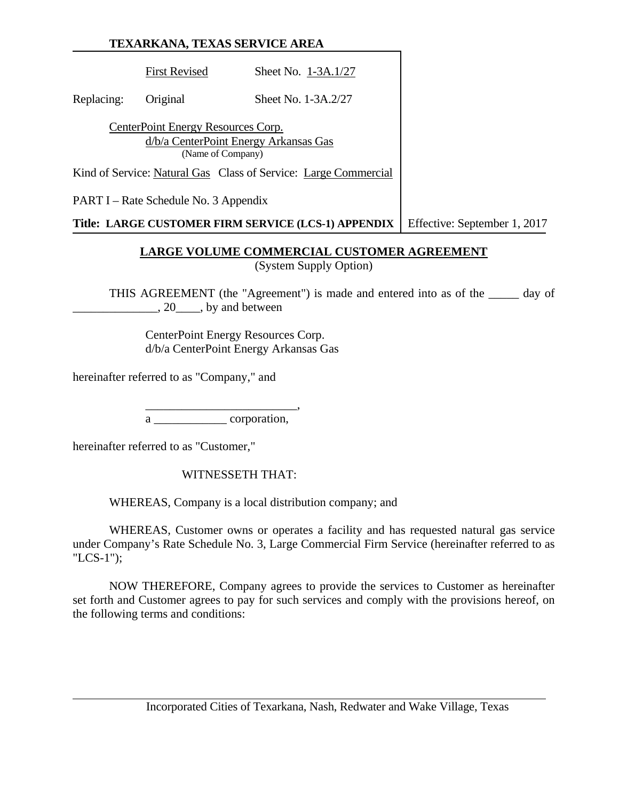First Revised Sheet No. 1-3A.1/27

Replacing: Original Sheet No. 1-3A.2/27

CenterPoint Energy Resources Corp. d/b/a CenterPoint Energy Arkansas Gas (Name of Company)

Kind of Service: Natural Gas Class of Service: Large Commercial

PART I – Rate Schedule No. 3 Appendix

**Title: LARGE CUSTOMER FIRM SERVICE (LCS-1) APPENDIX** Effective: September 1, 2017

## **LARGE VOLUME COMMERCIAL CUSTOMER AGREEMENT**

(System Supply Option)

THIS AGREEMENT (the "Agreement") is made and entered into as of the \_\_\_\_\_ day of \_\_\_\_\_\_\_\_\_\_\_\_\_\_, 20\_\_\_\_, by and between

 CenterPoint Energy Resources Corp. d/b/a CenterPoint Energy Arkansas Gas

hereinafter referred to as "Company," and

 $\overline{\phantom{a}}\phantom{a}$  ,  $\overline{\phantom{a}}\phantom{a}$  ,  $\overline{\phantom{a}}\phantom{a}$  ,  $\overline{\phantom{a}}\phantom{a}$  ,  $\overline{\phantom{a}}\phantom{a}$  ,  $\overline{\phantom{a}}\phantom{a}$  ,  $\overline{\phantom{a}}\phantom{a}$  ,  $\overline{\phantom{a}}\phantom{a}$  ,  $\overline{\phantom{a}}\phantom{a}$  ,  $\overline{\phantom{a}}\phantom{a}$  ,  $\overline{\phantom{a}}\phantom{a}$  , a corporation,

hereinafter referred to as "Customer,"

WITNESSETH THAT:

WHEREAS, Company is a local distribution company; and

 WHEREAS, Customer owns or operates a facility and has requested natural gas service under Company's Rate Schedule No. 3, Large Commercial Firm Service (hereinafter referred to as "LCS-1");

 NOW THEREFORE, Company agrees to provide the services to Customer as hereinafter set forth and Customer agrees to pay for such services and comply with the provisions hereof, on the following terms and conditions: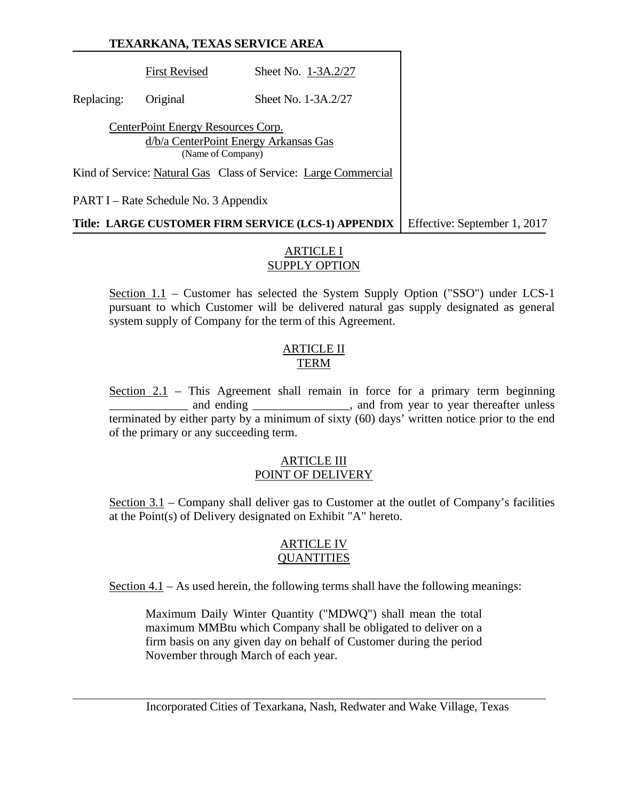First Revised Sheet No. 1-3A.2/27 Replacing: Original Sheet No. 1-3A.2/27 CenterPoint Energy Resources Corp. d/b/a CenterPoint Energy Arkansas Gas (Name of Company) Kind of Service: Natural Gas Class of Service: Large Commercial PART I – Rate Schedule No. 3 Appendix

**Title: LARGE CUSTOMER FIRM SERVICE (LCS-1) APPENDIX** Feffective: September 1, 2017

### ARTICLE I SUPPLY OPTION

Section 1.1 – Customer has selected the System Supply Option ("SSO") under LCS-1 pursuant to which Customer will be delivered natural gas supply designated as general system supply of Company for the term of this Agreement.

#### ARTICLE II TERM

Section 2.1 – This Agreement shall remain in force for a primary term beginning and ending \_\_\_\_\_\_\_\_\_\_\_\_\_\_, and from year to year thereafter unless terminated by either party by a minimum of sixty (60) days' written notice prior to the end of the primary or any succeeding term.

#### ARTICLE III POINT OF DELIVERY

Section 3.1 – Company shall deliver gas to Customer at the outlet of Company's facilities at the Point(s) of Delivery designated on Exhibit "A" hereto.

#### ARTICLE IV **QUANTITIES**

Section 4.1 – As used herein, the following terms shall have the following meanings:

Maximum Daily Winter Quantity ("MDWQ") shall mean the total maximum MMBtu which Company shall be obligated to deliver on a firm basis on any given day on behalf of Customer during the period November through March of each year.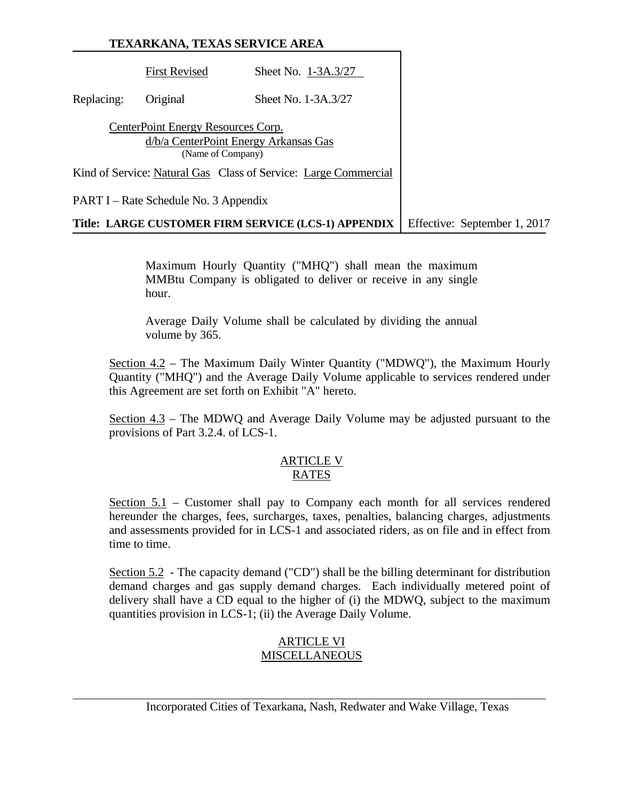# **TEXARKANA, TEXAS SERVICE AREA** First Revised Sheet No. 1-3A.3/27 Replacing: Original Sheet No. 1-3A.3/27 CenterPoint Energy Resources Corp. d/b/a CenterPoint Energy Arkansas Gas (Name of Company) Kind of Service: Natural Gas Class of Service: Large Commercial PART I – Rate Schedule No. 3 Appendix **Title: LARGE CUSTOMER FIRM SERVICE (LCS-1) APPENDIX** Effective: September 1, 2017

Maximum Hourly Quantity ("MHQ") shall mean the maximum MMBtu Company is obligated to deliver or receive in any single hour.

Average Daily Volume shall be calculated by dividing the annual volume by 365.

Section 4.2 – The Maximum Daily Winter Quantity ("MDWQ"), the Maximum Hourly Quantity ("MHQ") and the Average Daily Volume applicable to services rendered under this Agreement are set forth on Exhibit "A" hereto.

Section 4.3 – The MDWQ and Average Daily Volume may be adjusted pursuant to the provisions of Part 3.2.4. of LCS-1.

#### ARTICLE V RATES

Section 5.1 – Customer shall pay to Company each month for all services rendered hereunder the charges, fees, surcharges, taxes, penalties, balancing charges, adjustments and assessments provided for in LCS-1 and associated riders, as on file and in effect from time to time.

Section 5.2 - The capacity demand ("CD") shall be the billing determinant for distribution demand charges and gas supply demand charges. Each individually metered point of delivery shall have a CD equal to the higher of (i) the MDWQ, subject to the maximum quantities provision in LCS-1; (ii) the Average Daily Volume.

# ARTICLE VI **MISCELLANEOUS**

Incorporated Cities of Texarkana, Nash, Redwater and Wake Village, Texas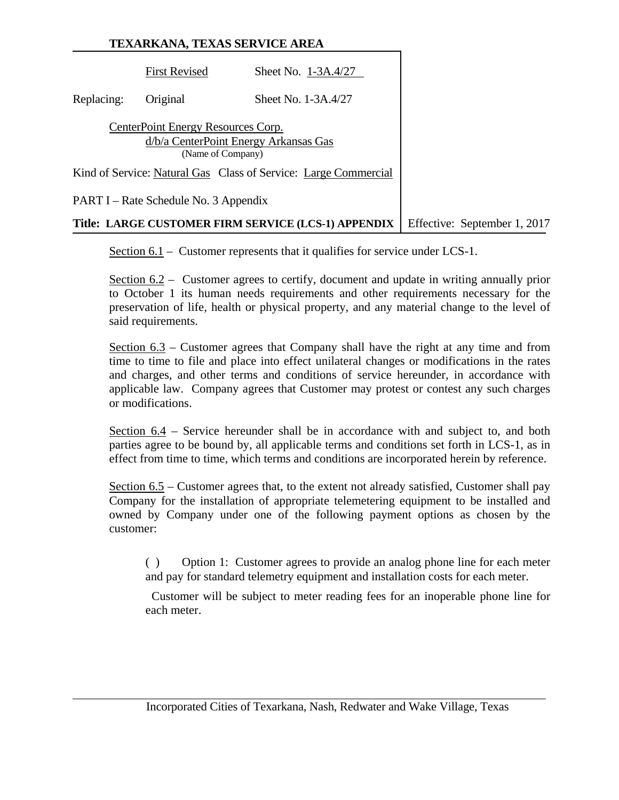|            | TEXARKANA, TEXAS SERVICE AREA                           |                                                                 |                              |  |  |
|------------|---------------------------------------------------------|-----------------------------------------------------------------|------------------------------|--|--|
|            | <b>First Revised</b>                                    | Sheet No. 1-3A.4/27                                             |                              |  |  |
| Replacing: | Original                                                | Sheet No. 1-3A.4/27                                             |                              |  |  |
|            | CenterPoint Energy Resources Corp.<br>(Name of Company) | d/b/a CenterPoint Energy Arkansas Gas                           |                              |  |  |
|            |                                                         | Kind of Service: Natural Gas Class of Service: Large Commercial |                              |  |  |
|            | PART I – Rate Schedule No. 3 Appendix                   |                                                                 |                              |  |  |
|            |                                                         | Title: LARGE CUSTOMER FIRM SERVICE (LCS-1) APPENDIX             | Effective: September 1, 2017 |  |  |

Section  $6.1$  – Customer represents that it qualifies for service under LCS-1.

Section 6.2 – Customer agrees to certify, document and update in writing annually prior to October 1 its human needs requirements and other requirements necessary for the preservation of life, health or physical property, and any material change to the level of said requirements.

Section 6.3 – Customer agrees that Company shall have the right at any time and from time to time to file and place into effect unilateral changes or modifications in the rates and charges, and other terms and conditions of service hereunder, in accordance with applicable law. Company agrees that Customer may protest or contest any such charges or modifications.

Section 6.4 – Service hereunder shall be in accordance with and subject to, and both parties agree to be bound by, all applicable terms and conditions set forth in LCS-1, as in effect from time to time, which terms and conditions are incorporated herein by reference.

Section 6.5 – Customer agrees that, to the extent not already satisfied, Customer shall pay Company for the installation of appropriate telemetering equipment to be installed and owned by Company under one of the following payment options as chosen by the customer:

( ) Option 1: Customer agrees to provide an analog phone line for each meter and pay for standard telemetry equipment and installation costs for each meter.

 Customer will be subject to meter reading fees for an inoperable phone line for each meter.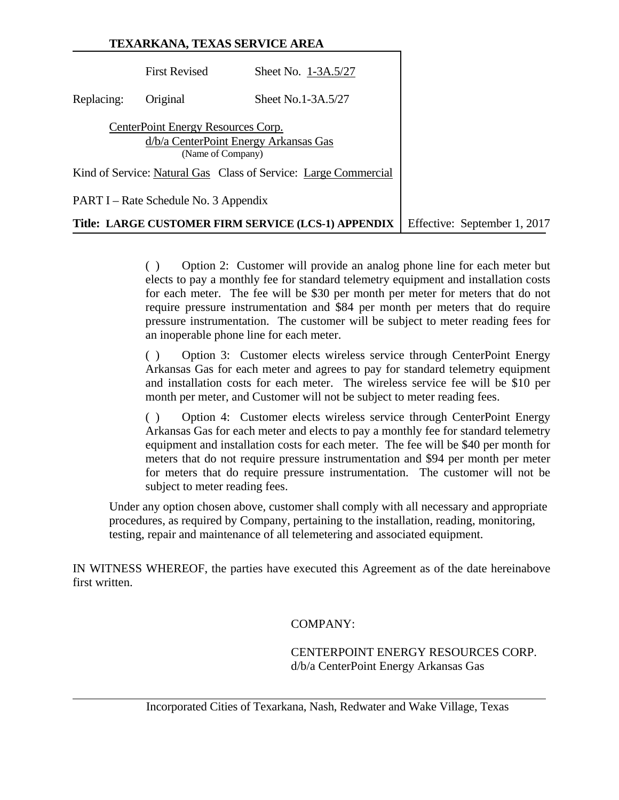|            |                                                         | TEXARKANA, TEXAS SERVICE AREA                                   |                              |
|------------|---------------------------------------------------------|-----------------------------------------------------------------|------------------------------|
|            | <b>First Revised</b>                                    | Sheet No. 1-3A.5/27                                             |                              |
| Replacing: | Original                                                | Sheet No.1-3A.5/27                                              |                              |
|            | CenterPoint Energy Resources Corp.<br>(Name of Company) | d/b/a CenterPoint Energy Arkansas Gas                           |                              |
|            |                                                         | Kind of Service: Natural Gas Class of Service: Large Commercial |                              |
|            | PART I – Rate Schedule No. 3 Appendix                   |                                                                 |                              |
|            |                                                         | Title: LARGE CUSTOMER FIRM SERVICE (LCS-1) APPENDIX             | Effective: September 1, 2017 |

( ) Option 2: Customer will provide an analog phone line for each meter but elects to pay a monthly fee for standard telemetry equipment and installation costs for each meter. The fee will be \$30 per month per meter for meters that do not require pressure instrumentation and \$84 per month per meters that do require pressure instrumentation. The customer will be subject to meter reading fees for an inoperable phone line for each meter.

( ) Option 3: Customer elects wireless service through CenterPoint Energy Arkansas Gas for each meter and agrees to pay for standard telemetry equipment and installation costs for each meter. The wireless service fee will be \$10 per month per meter, and Customer will not be subject to meter reading fees.

( ) Option 4: Customer elects wireless service through CenterPoint Energy Arkansas Gas for each meter and elects to pay a monthly fee for standard telemetry equipment and installation costs for each meter. The fee will be \$40 per month for meters that do not require pressure instrumentation and \$94 per month per meter for meters that do require pressure instrumentation. The customer will not be subject to meter reading fees.

Under any option chosen above, customer shall comply with all necessary and appropriate procedures, as required by Company, pertaining to the installation, reading, monitoring, testing, repair and maintenance of all telemetering and associated equipment.

IN WITNESS WHEREOF, the parties have executed this Agreement as of the date hereinabove first written.

COMPANY:

 CENTERPOINT ENERGY RESOURCES CORP. d/b/a CenterPoint Energy Arkansas Gas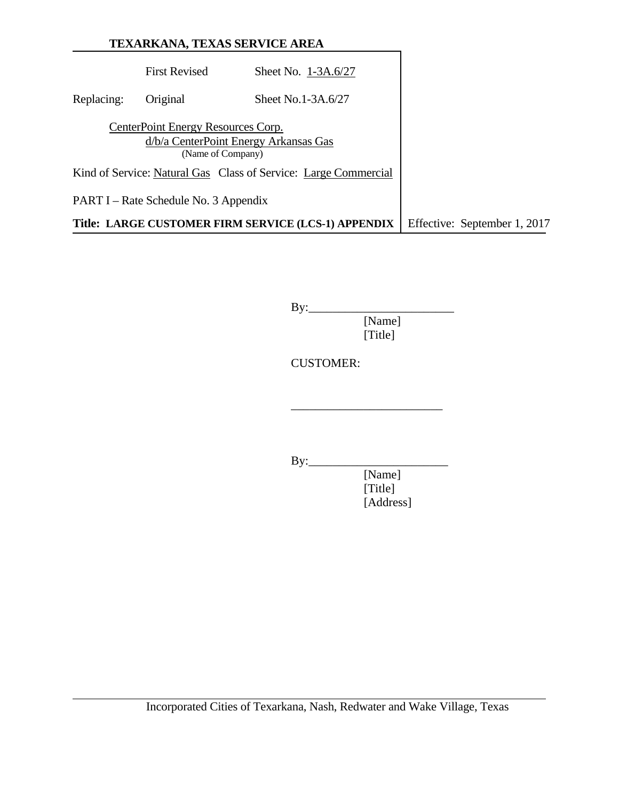|            |                                                         | TEXARKANA, TEXAS SERVICE AREA                                   |                              |
|------------|---------------------------------------------------------|-----------------------------------------------------------------|------------------------------|
|            | <b>First Revised</b>                                    | Sheet No. 1-3A.6/27                                             |                              |
| Replacing: | Original                                                | Sheet No.1-3A.6/27                                              |                              |
|            | CenterPoint Energy Resources Corp.<br>(Name of Company) | d/b/a CenterPoint Energy Arkansas Gas                           |                              |
|            |                                                         | Kind of Service: Natural Gas Class of Service: Large Commercial |                              |
|            | PART I – Rate Schedule No. 3 Appendix                   |                                                                 |                              |
|            |                                                         | Title: LARGE CUSTOMER FIRM SERVICE (LCS-1) APPENDIX             | Effective: September 1, 2017 |

 $By:$ [Name]

[Title]

CUSTOMER:

 $\frac{1}{2}$  , and the contract of the contract of the contract of the contract of the contract of the contract of the contract of the contract of the contract of the contract of the contract of the contract of the contract

By:\_\_\_\_\_\_\_\_\_\_\_\_\_\_\_\_\_\_\_\_\_\_\_

 [Name] [Title] [Address]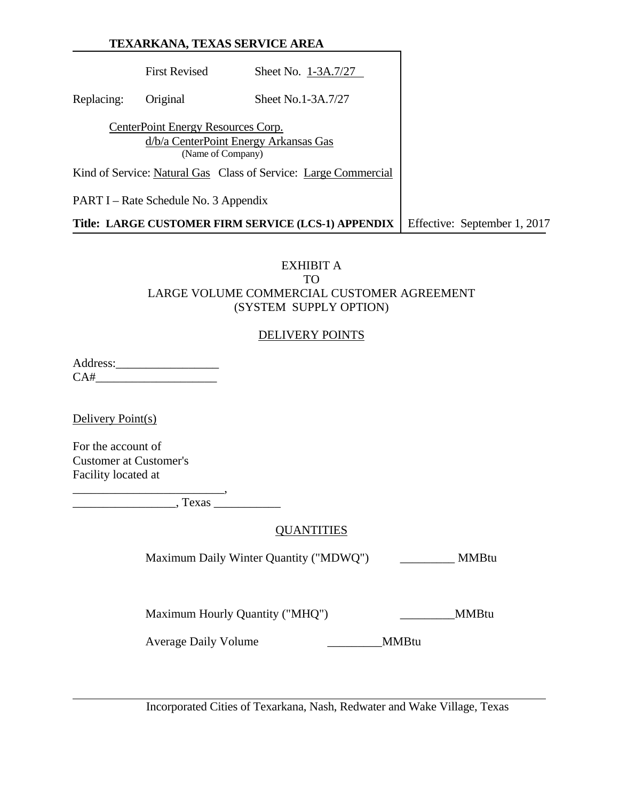First Revised Sheet No. 1-3A.7/27 Replacing: Original Sheet No.1-3A.7/27 CenterPoint Energy Resources Corp. d/b/a CenterPoint Energy Arkansas Gas (Name of Company) Kind of Service: Natural Gas Class of Service: Large Commercial PART I – Rate Schedule No. 3 Appendix **Title: LARGE CUSTOMER FIRM SERVICE (LCS-1) APPENDIX** Effective: September 1, 2017

## EXHIBIT A TO LARGE VOLUME COMMERCIAL CUSTOMER AGREEMENT (SYSTEM SUPPLY OPTION)

#### DELIVERY POINTS

Address:\_\_\_\_\_\_\_\_\_\_\_\_\_\_\_\_\_  $CA#$ 

Delivery Point(s)

For the account of Customer at Customer's Facility located at

\_\_\_\_\_\_\_\_\_\_\_\_\_\_\_\_\_\_\_\_\_\_\_\_\_,

\_\_\_\_\_\_\_\_\_\_\_\_\_\_\_\_\_, Texas \_\_\_\_\_\_\_\_\_\_\_

#### **QUANTITIES**

Maximum Daily Winter Quantity ("MDWQ") \_\_\_\_\_\_\_\_\_ MMBtu

Maximum Hourly Quantity ("MHQ") \_\_\_\_\_\_\_\_\_\_\_\_\_\_MMBtu

Average Daily Volume \_\_\_\_\_\_\_\_\_MMBtu

Incorporated Cities of Texarkana, Nash, Redwater and Wake Village, Texas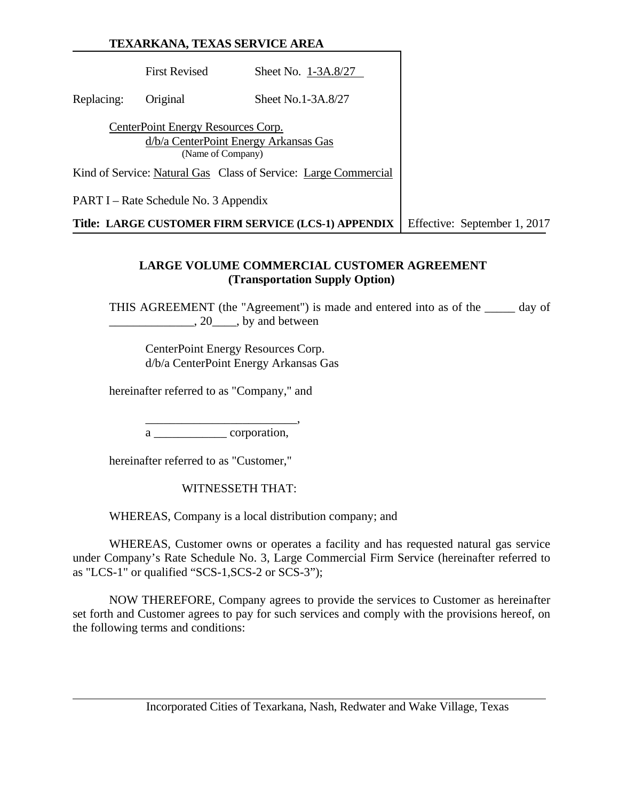First Revised Sheet No. 1-3A.8/27 Replacing: Original Sheet No.1-3A.8/27 CenterPoint Energy Resources Corp. d/b/a CenterPoint Energy Arkansas Gas (Name of Company) Kind of Service: Natural Gas Class of Service: Large Commercial PART I – Rate Schedule No. 3 Appendix **Title: LARGE CUSTOMER FIRM SERVICE (LCS-1) APPENDIX** Effective: September 1, 2017

#### **LARGE VOLUME COMMERCIAL CUSTOMER AGREEMENT (Transportation Supply Option)**

THIS AGREEMENT (the "Agreement") is made and entered into as of the \_\_\_\_\_ day of  $\_, 20 \_\_\_$ , by and between

 CenterPoint Energy Resources Corp. d/b/a CenterPoint Energy Arkansas Gas

hereinafter referred to as "Company," and

 $\overline{\phantom{a}}\phantom{a}$  ,  $\overline{\phantom{a}}\phantom{a}$  ,  $\overline{\phantom{a}}\phantom{a}$  ,  $\overline{\phantom{a}}\phantom{a}$  ,  $\overline{\phantom{a}}\phantom{a}$  ,  $\overline{\phantom{a}}\phantom{a}$  ,  $\overline{\phantom{a}}\phantom{a}$  ,  $\overline{\phantom{a}}\phantom{a}$  ,  $\overline{\phantom{a}}\phantom{a}$  ,  $\overline{\phantom{a}}\phantom{a}$  ,  $\overline{\phantom{a}}\phantom{a}$  , a corporation,

hereinafter referred to as "Customer,"

WITNESSETH THAT:

WHEREAS, Company is a local distribution company; and

WHEREAS, Customer owns or operates a facility and has requested natural gas service under Company's Rate Schedule No. 3, Large Commercial Firm Service (hereinafter referred to as "LCS-1" or qualified "SCS-1,SCS-2 or SCS-3");

NOW THEREFORE, Company agrees to provide the services to Customer as hereinafter set forth and Customer agrees to pay for such services and comply with the provisions hereof, on the following terms and conditions: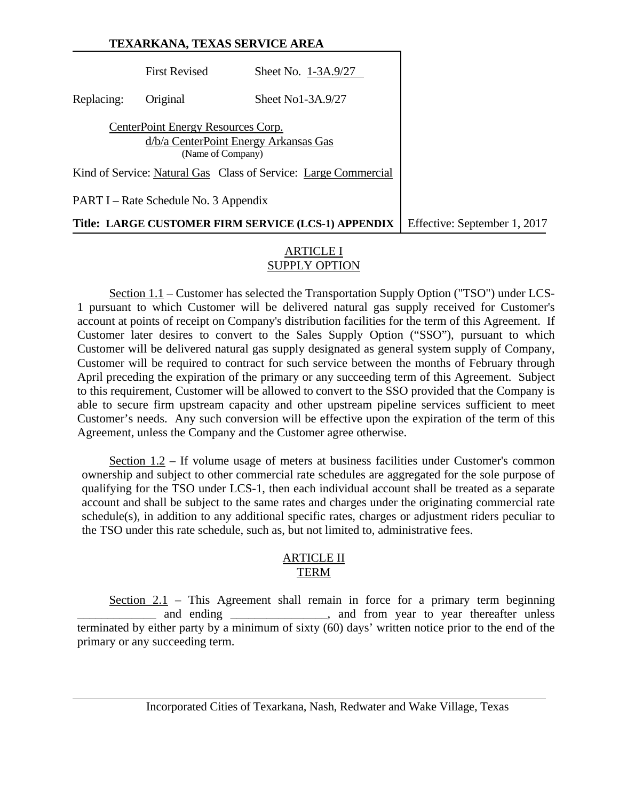| TEXARKANA, TEXAS SERVICE AREA |                                                         |                                                                 |                              |
|-------------------------------|---------------------------------------------------------|-----------------------------------------------------------------|------------------------------|
|                               | <b>First Revised</b>                                    | Sheet No. 1-3A.9/27                                             |                              |
| Replacing:                    | Original                                                | Sheet No1-3A.9/27                                               |                              |
|                               | CenterPoint Energy Resources Corp.<br>(Name of Company) | d/b/a CenterPoint Energy Arkansas Gas                           |                              |
|                               |                                                         | Kind of Service: Natural Gas Class of Service: Large Commercial |                              |
|                               | PART I – Rate Schedule No. 3 Appendix                   |                                                                 |                              |
|                               |                                                         | Title: LARGE CUSTOMER FIRM SERVICE (LCS-1) APPENDIX             | Effective: September 1, 2017 |

### ARTICLE I SUPPLY OPTION

Section 1.1 – Customer has selected the Transportation Supply Option ("TSO") under LCS-1 pursuant to which Customer will be delivered natural gas supply received for Customer's account at points of receipt on Company's distribution facilities for the term of this Agreement. If Customer later desires to convert to the Sales Supply Option ("SSO"), pursuant to which Customer will be delivered natural gas supply designated as general system supply of Company, Customer will be required to contract for such service between the months of February through April preceding the expiration of the primary or any succeeding term of this Agreement. Subject to this requirement, Customer will be allowed to convert to the SSO provided that the Company is able to secure firm upstream capacity and other upstream pipeline services sufficient to meet Customer's needs. Any such conversion will be effective upon the expiration of the term of this Agreement, unless the Company and the Customer agree otherwise.

Section 1.2 – If volume usage of meters at business facilities under Customer's common ownership and subject to other commercial rate schedules are aggregated for the sole purpose of qualifying for the TSO under LCS-1, then each individual account shall be treated as a separate account and shall be subject to the same rates and charges under the originating commercial rate schedule(s), in addition to any additional specific rates, charges or adjustment riders peculiar to the TSO under this rate schedule, such as, but not limited to, administrative fees.

#### ARTICLE II TERM

Section 2.1 – This Agreement shall remain in force for a primary term beginning and ending \_\_\_\_\_\_\_\_\_\_\_\_\_\_\_, and from year to year thereafter unless terminated by either party by a minimum of sixty (60) days' written notice prior to the end of the primary or any succeeding term.

Incorporated Cities of Texarkana, Nash, Redwater and Wake Village, Texas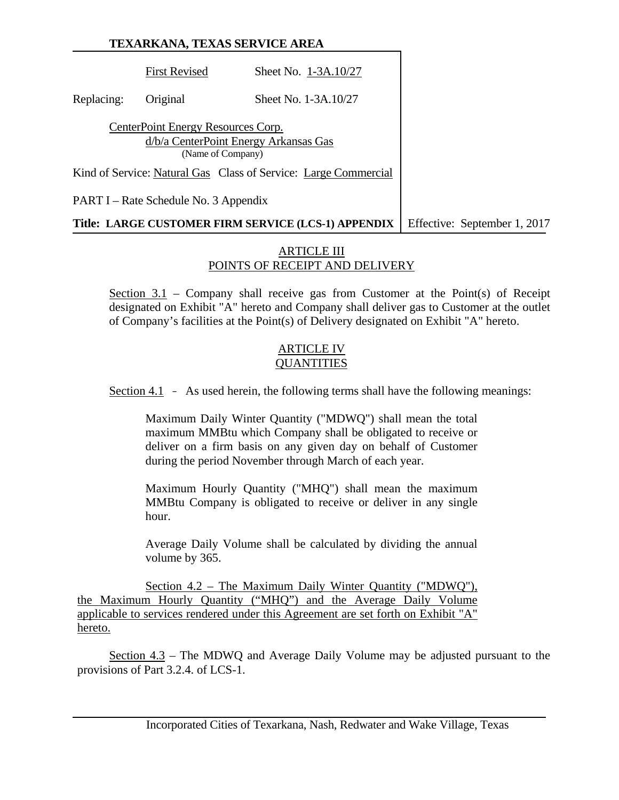First Revised Sheet No. 1-3A.10/27 Replacing: Original Sheet No. 1-3A.10/27 CenterPoint Energy Resources Corp. d/b/a CenterPoint Energy Arkansas Gas (Name of Company) Kind of Service: Natural Gas Class of Service: Large Commercial PART I – Rate Schedule No. 3 Appendix **Title: LARGE CUSTOMER FIRM SERVICE (LCS-1) APPENDIX** Effective: September 1, 2017

#### ARTICLE III POINTS OF RECEIPT AND DELIVERY

Section 3.1 – Company shall receive gas from Customer at the Point(s) of Receipt designated on Exhibit "A" hereto and Company shall deliver gas to Customer at the outlet of Company's facilities at the Point(s) of Delivery designated on Exhibit "A" hereto.

#### ARTICLE IV **OUANTITIES**

Section 4.1 - As used herein, the following terms shall have the following meanings:

Maximum Daily Winter Quantity ("MDWQ") shall mean the total maximum MMBtu which Company shall be obligated to receive or deliver on a firm basis on any given day on behalf of Customer during the period November through March of each year.

Maximum Hourly Quantity ("MHQ") shall mean the maximum MMBtu Company is obligated to receive or deliver in any single hour.

Average Daily Volume shall be calculated by dividing the annual volume by 365.

Section 4.2 – The Maximum Daily Winter Quantity ("MDWQ"), the Maximum Hourly Quantity ("MHQ") and the Average Daily Volume applicable to services rendered under this Agreement are set forth on Exhibit "A" hereto.

Section 4.3 – The MDWQ and Average Daily Volume may be adjusted pursuant to the provisions of Part 3.2.4. of LCS-1.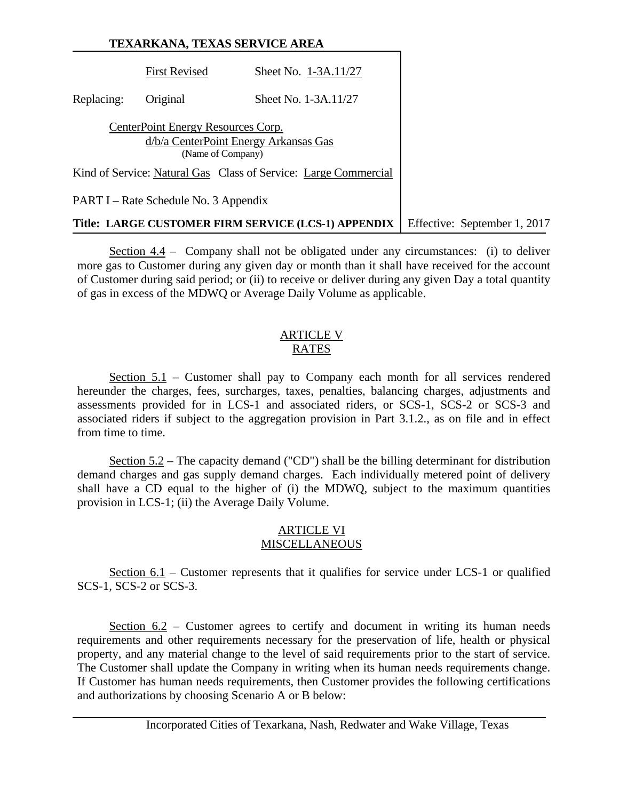# **TEXARKANA, TEXAS SERVICE AREA** First Revised Sheet No. 1-3A.11/27 Replacing: Original Sheet No. 1-3A.11/27 CenterPoint Energy Resources Corp. d/b/a CenterPoint Energy Arkansas Gas (Name of Company) Kind of Service: Natural Gas Class of Service: Large Commercial PART I – Rate Schedule No. 3 Appendix **Title: LARGE CUSTOMER FIRM SERVICE (LCS-1) APPENDIX** Effective: September 1, 2017

Section 4.4 – Company shall not be obligated under any circumstances: (i) to deliver more gas to Customer during any given day or month than it shall have received for the account of Customer during said period; or (ii) to receive or deliver during any given Day a total quantity of gas in excess of the MDWQ or Average Daily Volume as applicable.

#### ARTICLE V RATES

Section 5.1 – Customer shall pay to Company each month for all services rendered hereunder the charges, fees, surcharges, taxes, penalties, balancing charges, adjustments and assessments provided for in LCS-1 and associated riders, or SCS-1, SCS-2 or SCS-3 and associated riders if subject to the aggregation provision in Part 3.1.2., as on file and in effect from time to time.

Section 5.2 – The capacity demand ("CD") shall be the billing determinant for distribution demand charges and gas supply demand charges. Each individually metered point of delivery shall have a CD equal to the higher of (i) the MDWQ, subject to the maximum quantities provision in LCS-1; (ii) the Average Daily Volume.

## ARTICLE VI **MISCELLANEOUS**

Section 6.1 – Customer represents that it qualifies for service under LCS-1 or qualified SCS-1, SCS-2 or SCS-3.

Section 6.2 – Customer agrees to certify and document in writing its human needs requirements and other requirements necessary for the preservation of life, health or physical property, and any material change to the level of said requirements prior to the start of service. The Customer shall update the Company in writing when its human needs requirements change. If Customer has human needs requirements, then Customer provides the following certifications and authorizations by choosing Scenario A or B below: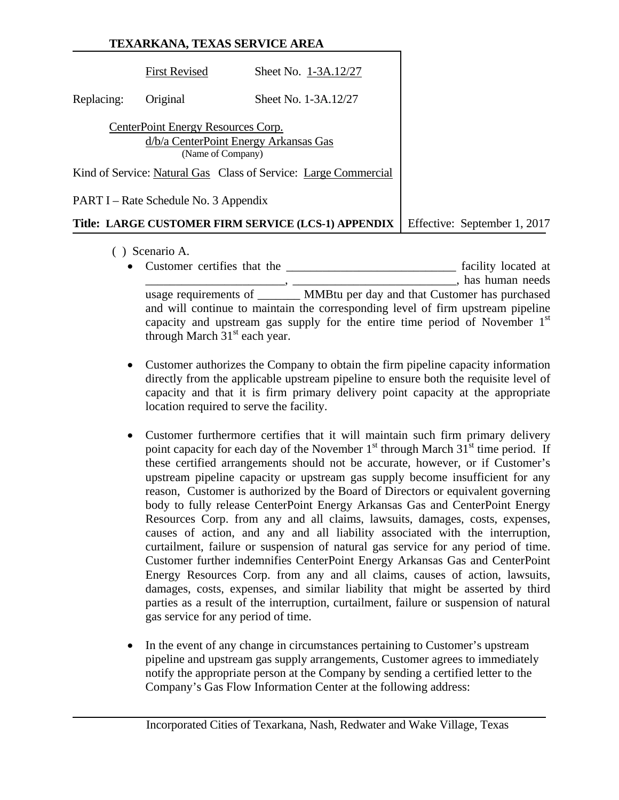|            | <b>First Revised</b>                                                                             | Sheet No. 1-3A.12/27                                            |               |
|------------|--------------------------------------------------------------------------------------------------|-----------------------------------------------------------------|---------------|
| Replacing: | Original                                                                                         | Sheet No. 1-3A.12/27                                            |               |
|            | CenterPoint Energy Resources Corp.<br>d/b/a CenterPoint Energy Arkansas Gas<br>(Name of Company) |                                                                 |               |
|            |                                                                                                  | Kind of Service: Natural Gas Class of Service: Large Commercial |               |
|            | PART I – Rate Schedule No. 3 Appendix                                                            |                                                                 |               |
|            | T:41 I ADCE CHETOMED FIDM EEDVICE                                                                | $(T \cap C$ 1)                                                  | $Eff$ ootivo: |

#### **Title: LARGE CUSTOMER FIRM SERVICE (LCS-1) APPENDIX** Effective: September 1, 2017

- ( ) Scenario A.
	- Customer certifies that the \_\_\_\_\_\_\_\_\_\_\_\_\_\_\_\_\_\_\_\_\_\_\_\_\_\_\_\_ facility located at  $\blacksquare$  has human needs usage requirements of \_\_\_\_\_\_\_ MMBtu per day and that Customer has purchased and will continue to maintain the corresponding level of firm upstream pipeline capacity and upstream gas supply for the entire time period of November  $1<sup>st</sup>$ through March 31<sup>st</sup> each year.
	- Customer authorizes the Company to obtain the firm pipeline capacity information directly from the applicable upstream pipeline to ensure both the requisite level of capacity and that it is firm primary delivery point capacity at the appropriate location required to serve the facility.
	- Customer furthermore certifies that it will maintain such firm primary delivery point capacity for each day of the November  $1<sup>st</sup>$  through March  $31<sup>st</sup>$  time period. If these certified arrangements should not be accurate, however, or if Customer's upstream pipeline capacity or upstream gas supply become insufficient for any reason, Customer is authorized by the Board of Directors or equivalent governing body to fully release CenterPoint Energy Arkansas Gas and CenterPoint Energy Resources Corp. from any and all claims, lawsuits, damages, costs, expenses, causes of action, and any and all liability associated with the interruption, curtailment, failure or suspension of natural gas service for any period of time. Customer further indemnifies CenterPoint Energy Arkansas Gas and CenterPoint Energy Resources Corp. from any and all claims, causes of action, lawsuits, damages, costs, expenses, and similar liability that might be asserted by third parties as a result of the interruption, curtailment, failure or suspension of natural gas service for any period of time.
	- In the event of any change in circumstances pertaining to Customer's upstream pipeline and upstream gas supply arrangements, Customer agrees to immediately notify the appropriate person at the Company by sending a certified letter to the Company's Gas Flow Information Center at the following address: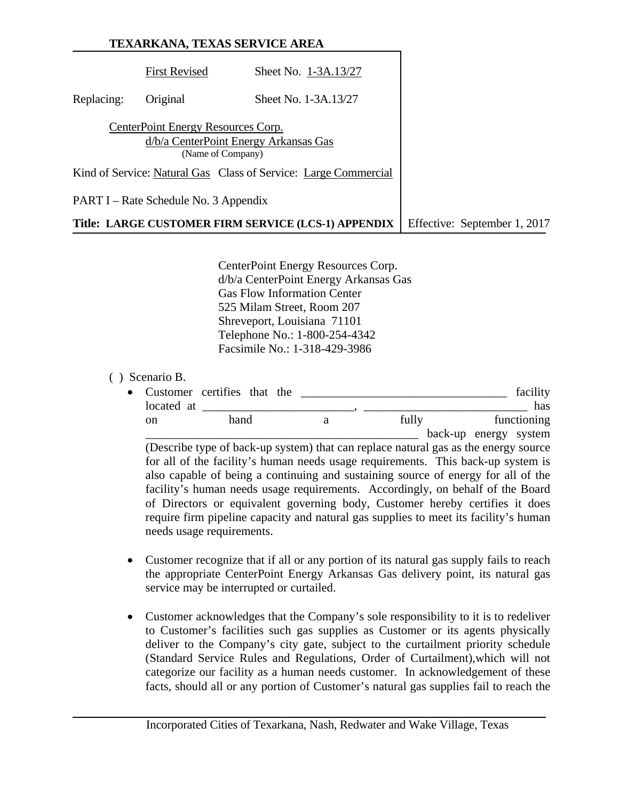|            |                                                         | TEXARKANA, TEXAS SERVICE AREA                                   |                              |
|------------|---------------------------------------------------------|-----------------------------------------------------------------|------------------------------|
|            | <b>First Revised</b>                                    | Sheet No. 1-3A.13/27                                            |                              |
| Replacing: | Original                                                | Sheet No. 1-3A.13/27                                            |                              |
|            | CenterPoint Energy Resources Corp.<br>(Name of Company) | d/b/a CenterPoint Energy Arkansas Gas                           |                              |
|            |                                                         | Kind of Service: Natural Gas Class of Service: Large Commercial |                              |
|            | PART I – Rate Schedule No. 3 Appendix                   |                                                                 |                              |
|            |                                                         | Title: LARGE CUSTOMER FIRM SERVICE (LCS-1) APPENDIX             | Effective: September 1, 2017 |

CenterPoint Energy Resources Corp. d/b/a CenterPoint Energy Arkansas Gas Gas Flow Information Center 525 Milam Street, Room 207 Shreveport, Louisiana 71101 Telephone No.: 1-800-254-4342 Facsimile No.: 1-318-429-3986

## ( ) Scenario B.

| • Customer certifies that the |      |  |       | facility              |
|-------------------------------|------|--|-------|-----------------------|
| located at                    |      |  |       | has                   |
| on                            | hand |  | fully | functioning           |
|                               |      |  |       | hack-un energy system |

\_\_\_\_\_\_\_\_\_\_\_\_\_\_\_\_\_\_\_\_\_\_\_\_\_\_\_\_\_\_\_\_\_\_\_\_\_\_\_\_\_\_\_\_\_ back-up energy system (Describe type of back-up system) that can replace natural gas as the energy source for all of the facility's human needs usage requirements. This back-up system is also capable of being a continuing and sustaining source of energy for all of the facility's human needs usage requirements. Accordingly, on behalf of the Board of Directors or equivalent governing body, Customer hereby certifies it does require firm pipeline capacity and natural gas supplies to meet its facility's human needs usage requirements.

- Customer recognize that if all or any portion of its natural gas supply fails to reach the appropriate CenterPoint Energy Arkansas Gas delivery point, its natural gas service may be interrupted or curtailed.
- Customer acknowledges that the Company's sole responsibility to it is to redeliver to Customer's facilities such gas supplies as Customer or its agents physically deliver to the Company's city gate, subject to the curtailment priority schedule (Standard Service Rules and Regulations, Order of Curtailment),which will not categorize our facility as a human needs customer. In acknowledgement of these facts, should all or any portion of Customer's natural gas supplies fail to reach the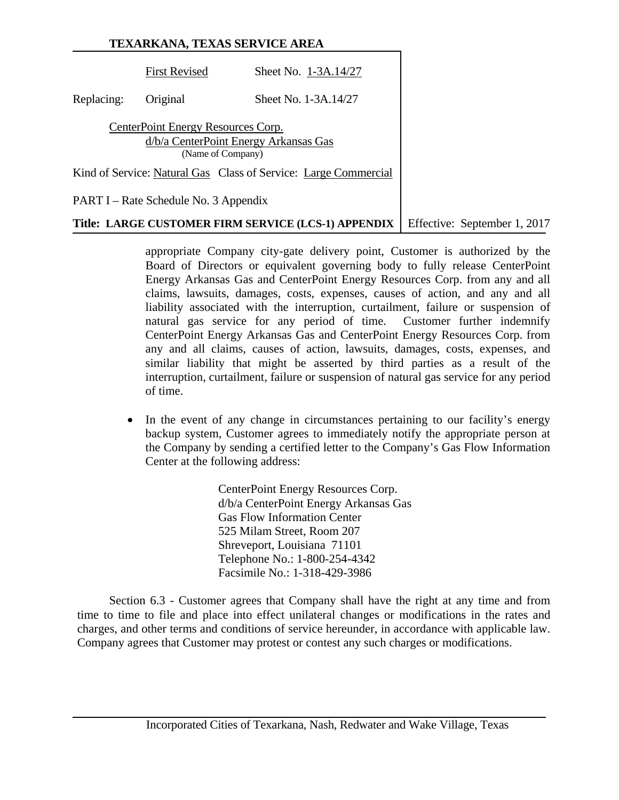|                                                                 | <b>First Revised</b>                                                                             | Sheet No. 1-3A.14/27 |  |  |
|-----------------------------------------------------------------|--------------------------------------------------------------------------------------------------|----------------------|--|--|
| Replacing:                                                      | Original                                                                                         | Sheet No. 1-3A.14/27 |  |  |
|                                                                 | CenterPoint Energy Resources Corp.<br>d/b/a CenterPoint Energy Arkansas Gas<br>(Name of Company) |                      |  |  |
| Kind of Service: Natural Gas Class of Service: Large Commercial |                                                                                                  |                      |  |  |
| PART I – Rate Schedule No. 3 Appendix                           |                                                                                                  |                      |  |  |

# **Title: LARGE CUSTOMER FIRM SERVICE (LCS-1) APPENDIX** Feffective: September 1, 2017

appropriate Company city-gate delivery point, Customer is authorized by the Board of Directors or equivalent governing body to fully release CenterPoint Energy Arkansas Gas and CenterPoint Energy Resources Corp. from any and all claims, lawsuits, damages, costs, expenses, causes of action, and any and all liability associated with the interruption, curtailment, failure or suspension of natural gas service for any period of time. Customer further indemnify CenterPoint Energy Arkansas Gas and CenterPoint Energy Resources Corp. from any and all claims, causes of action, lawsuits, damages, costs, expenses, and similar liability that might be asserted by third parties as a result of the interruption, curtailment, failure or suspension of natural gas service for any period of time.

• In the event of any change in circumstances pertaining to our facility's energy backup system, Customer agrees to immediately notify the appropriate person at the Company by sending a certified letter to the Company's Gas Flow Information Center at the following address:

> CenterPoint Energy Resources Corp. d/b/a CenterPoint Energy Arkansas Gas Gas Flow Information Center 525 Milam Street, Room 207 Shreveport, Louisiana 71101 Telephone No.: 1-800-254-4342 Facsimile No.: 1-318-429-3986

Section 6.3 - Customer agrees that Company shall have the right at any time and from time to time to file and place into effect unilateral changes or modifications in the rates and charges, and other terms and conditions of service hereunder, in accordance with applicable law. Company agrees that Customer may protest or contest any such charges or modifications.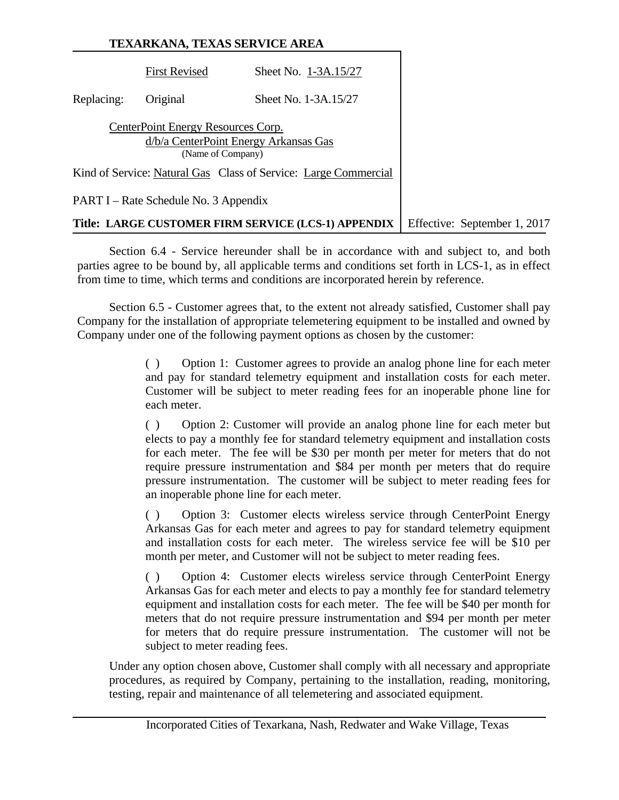# **TEXARKANA, TEXAS SERVICE AREA** First Revised Sheet No. 1-3A.15/27 Replacing: Original Sheet No. 1-3A.15/27 CenterPoint Energy Resources Corp. d/b/a CenterPoint Energy Arkansas Gas (Name of Company) Kind of Service: Natural Gas Class of Service: Large Commercial PART I – Rate Schedule No. 3 Appendix **Title: LARGE CUSTOMER FIRM SERVICE (LCS-1) APPENDIX** Effective: September 1, 2017

Section 6.4 - Service hereunder shall be in accordance with and subject to, and both parties agree to be bound by, all applicable terms and conditions set forth in LCS-1, as in effect from time to time, which terms and conditions are incorporated herein by reference.

Section 6.5 - Customer agrees that, to the extent not already satisfied, Customer shall pay Company for the installation of appropriate telemetering equipment to be installed and owned by Company under one of the following payment options as chosen by the customer:

> ( ) Option 1: Customer agrees to provide an analog phone line for each meter and pay for standard telemetry equipment and installation costs for each meter. Customer will be subject to meter reading fees for an inoperable phone line for each meter.

> ( ) Option 2: Customer will provide an analog phone line for each meter but elects to pay a monthly fee for standard telemetry equipment and installation costs for each meter. The fee will be \$30 per month per meter for meters that do not require pressure instrumentation and \$84 per month per meters that do require pressure instrumentation. The customer will be subject to meter reading fees for an inoperable phone line for each meter.

> ( ) Option 3: Customer elects wireless service through CenterPoint Energy Arkansas Gas for each meter and agrees to pay for standard telemetry equipment and installation costs for each meter. The wireless service fee will be \$10 per month per meter, and Customer will not be subject to meter reading fees.

> ( ) Option 4: Customer elects wireless service through CenterPoint Energy Arkansas Gas for each meter and elects to pay a monthly fee for standard telemetry equipment and installation costs for each meter. The fee will be \$40 per month for meters that do not require pressure instrumentation and \$94 per month per meter for meters that do require pressure instrumentation. The customer will not be subject to meter reading fees.

Under any option chosen above, Customer shall comply with all necessary and appropriate procedures, as required by Company, pertaining to the installation, reading, monitoring, testing, repair and maintenance of all telemetering and associated equipment.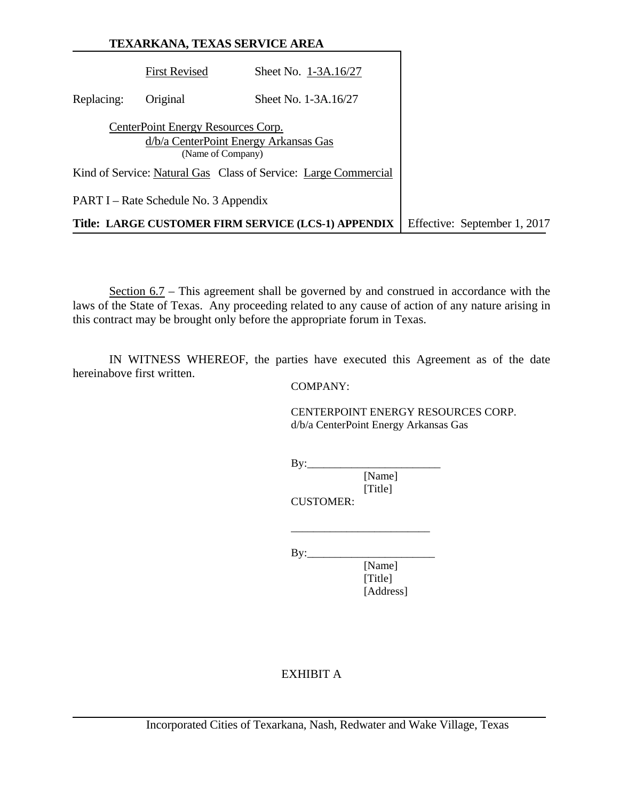|            |                                                         | TEXARKANA, TEXAS SERVICE AREA                                   |                              |
|------------|---------------------------------------------------------|-----------------------------------------------------------------|------------------------------|
|            | <b>First Revised</b>                                    | Sheet No. 1-3A.16/27                                            |                              |
| Replacing: | Original                                                | Sheet No. 1-3A.16/27                                            |                              |
|            | CenterPoint Energy Resources Corp.<br>(Name of Company) | d/b/a CenterPoint Energy Arkansas Gas                           |                              |
|            |                                                         | Kind of Service: Natural Gas Class of Service: Large Commercial |                              |
|            | PART I – Rate Schedule No. 3 Appendix                   |                                                                 |                              |
|            |                                                         | Title: LARGE CUSTOMER FIRM SERVICE (LCS-1) APPENDIX             | Effective: September 1, 2017 |

Section 6.7 – This agreement shall be governed by and construed in accordance with the laws of the State of Texas. Any proceeding related to any cause of action of any nature arising in this contract may be brought only before the appropriate forum in Texas.

IN WITNESS WHEREOF, the parties have executed this Agreement as of the date hereinabove first written.

COMPANY:

 CENTERPOINT ENERGY RESOURCES CORP. d/b/a CenterPoint Energy Arkansas Gas

 $By:$ 

 $\overline{\phantom{a}}$  , and the contract of the contract of the contract of the contract of the contract of the contract of the contract of the contract of the contract of the contract of the contract of the contract of the contrac

 [Name] [Title] CUSTOMER:

By:\_\_\_\_\_\_\_\_\_\_\_\_\_\_\_\_\_\_\_\_\_\_\_

[Name]<br>[Title] [Title] [Address]

# EXHIBIT A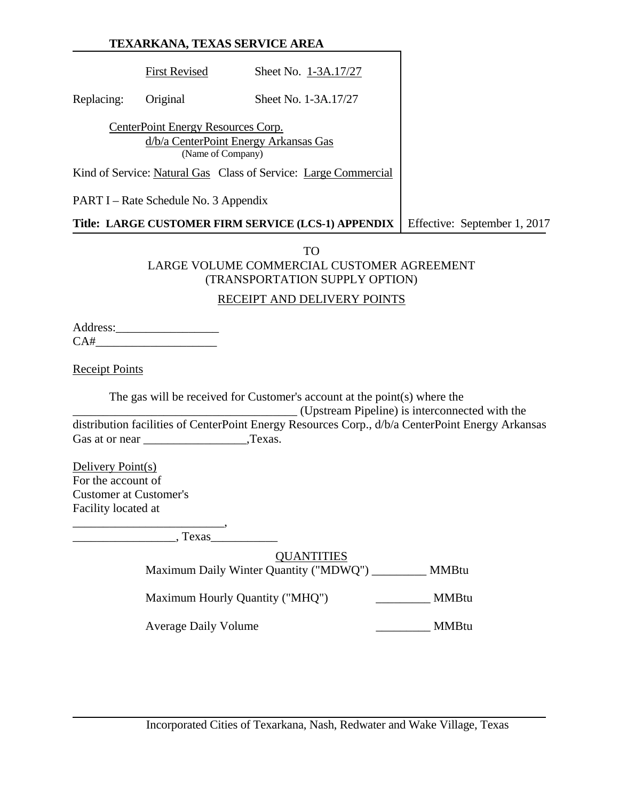# **TEXARKANA, TEXAS SERVICE AREA** First Revised Sheet No. 1-3A.17/27 Replacing: Original Sheet No. 1-3A.17/27 CenterPoint Energy Resources Corp. d/b/a CenterPoint Energy Arkansas Gas (Name of Company) Kind of Service: Natural Gas Class of Service: Large Commercial PART I – Rate Schedule No. 3 Appendix **Title: LARGE CUSTOMER FIRM SERVICE (LCS-1) APPENDIX** Effective: September 1, 2017

TO LARGE VOLUME COMMERCIAL CUSTOMER AGREEMENT (TRANSPORTATION SUPPLY OPTION)

## RECEIPT AND DELIVERY POINTS

Address: CA#\_\_\_\_\_\_\_\_\_\_\_\_\_\_\_\_\_\_\_\_

Receipt Points

The gas will be received for Customer's account at the point(s) where the

\_\_\_\_\_\_\_\_\_\_\_\_\_\_\_\_\_\_\_\_\_\_\_\_\_\_\_\_\_\_\_\_\_\_\_\_\_ (Upstream Pipeline) is interconnected with the distribution facilities of CenterPoint Energy Resources Corp., d/b/a CenterPoint Energy Arkansas Gas at or near Texas.

Delivery Point(s) For the account of Customer at Customer's Facility located at

\_\_\_\_\_\_\_\_\_\_\_\_\_\_\_\_\_\_\_\_\_\_\_\_\_,

\_\_\_\_\_\_\_\_\_\_\_\_\_\_\_\_\_, Texas\_\_\_\_\_\_\_\_\_\_\_

**OUANTITIES** Maximum Daily Winter Quantity ("MDWQ") \_\_\_\_\_\_\_\_\_ MMBtu

Maximum Hourly Quantity ("MHQ") \_\_\_\_\_\_\_\_\_\_ MMBtu

Average Daily Volume \_\_\_\_\_\_\_\_\_\_\_\_\_\_\_\_\_\_\_\_\_\_\_\_ MMBtu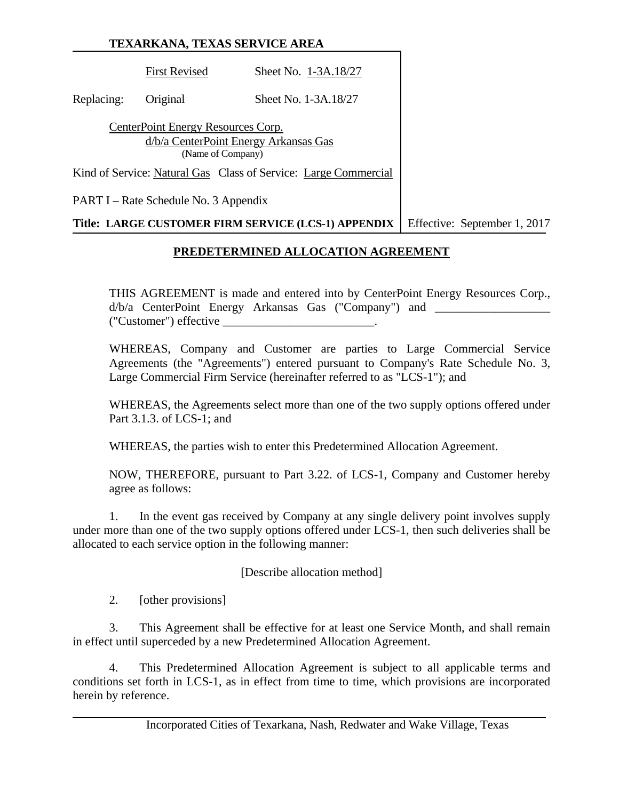First Revised Sheet No. 1-3A.18/27 Replacing: Original Sheet No. 1-3A.18/27 CenterPoint Energy Resources Corp. d/b/a CenterPoint Energy Arkansas Gas (Name of Company) Kind of Service: Natural Gas Class of Service: Large Commercial PART I – Rate Schedule No. 3 Appendix

#### **Title: LARGE CUSTOMER FIRM SERVICE (LCS-1) APPENDIX** Effective: September 1, 2017

#### **PREDETERMINED ALLOCATION AGREEMENT**

THIS AGREEMENT is made and entered into by CenterPoint Energy Resources Corp., d/b/a CenterPoint Energy Arkansas Gas ("Company") and \_\_\_\_\_\_\_\_\_\_\_\_\_\_\_\_\_\_\_\_\_\_\_\_\_\_\_ ("Customer") effective \_\_\_\_\_\_\_\_\_\_\_\_\_\_\_\_\_\_\_\_\_\_\_\_\_.

WHEREAS, Company and Customer are parties to Large Commercial Service Agreements (the "Agreements") entered pursuant to Company's Rate Schedule No. 3, Large Commercial Firm Service (hereinafter referred to as "LCS-1"); and

WHEREAS, the Agreements select more than one of the two supply options offered under Part 3.1.3. of LCS-1; and

WHEREAS, the parties wish to enter this Predetermined Allocation Agreement.

NOW, THEREFORE, pursuant to Part 3.22. of LCS-1, Company and Customer hereby agree as follows:

1. In the event gas received by Company at any single delivery point involves supply under more than one of the two supply options offered under LCS-1, then such deliveries shall be allocated to each service option in the following manner:

[Describe allocation method]

2. [other provisions]

3. This Agreement shall be effective for at least one Service Month, and shall remain in effect until superceded by a new Predetermined Allocation Agreement.

4. This Predetermined Allocation Agreement is subject to all applicable terms and conditions set forth in LCS-1, as in effect from time to time, which provisions are incorporated herein by reference.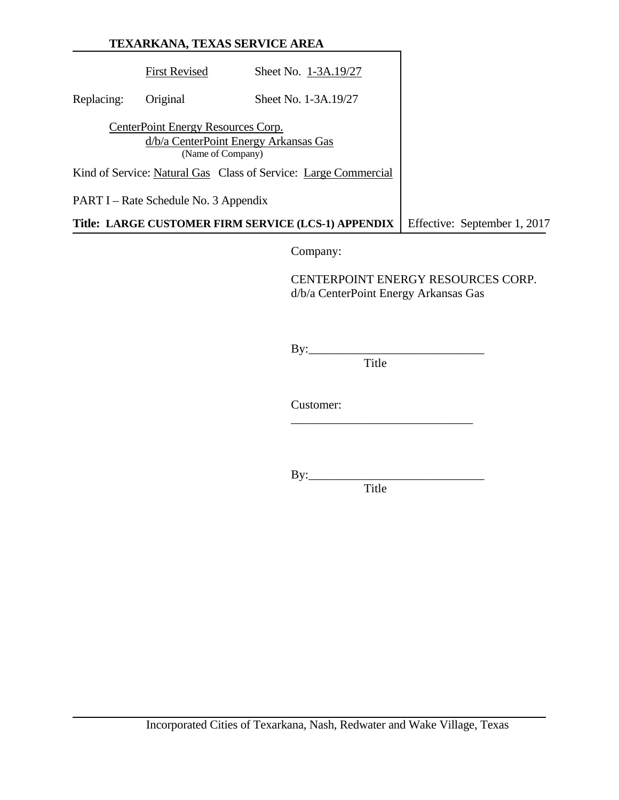|            |                                                         | TEXARKANA, TEXAS SERVICE AREA                                   |                              |
|------------|---------------------------------------------------------|-----------------------------------------------------------------|------------------------------|
|            | <b>First Revised</b>                                    | Sheet No. 1-3A.19/27                                            |                              |
| Replacing: | Original                                                | Sheet No. 1-3A.19/27                                            |                              |
|            | CenterPoint Energy Resources Corp.<br>(Name of Company) | d/b/a CenterPoint Energy Arkansas Gas                           |                              |
|            |                                                         | Kind of Service: Natural Gas Class of Service: Large Commercial |                              |
|            | PART I – Rate Schedule No. 3 Appendix                   |                                                                 |                              |
|            |                                                         | Title: LARGE CUSTOMER FIRM SERVICE (LCS-1) APPENDIX             | Effective: September 1, 2017 |

Company:

 CENTERPOINT ENERGY RESOURCES CORP. d/b/a CenterPoint Energy Arkansas Gas

 By:\_\_\_\_\_\_\_\_\_\_\_\_\_\_\_\_\_\_\_\_\_\_\_\_\_\_\_\_\_ **Title** 

Customer:

 $\frac{1}{\sqrt{2}}$  ,  $\frac{1}{\sqrt{2}}$  ,  $\frac{1}{\sqrt{2}}$  ,  $\frac{1}{\sqrt{2}}$  ,  $\frac{1}{\sqrt{2}}$  ,  $\frac{1}{\sqrt{2}}$  ,  $\frac{1}{\sqrt{2}}$  ,  $\frac{1}{\sqrt{2}}$  ,  $\frac{1}{\sqrt{2}}$  ,  $\frac{1}{\sqrt{2}}$  ,  $\frac{1}{\sqrt{2}}$  ,  $\frac{1}{\sqrt{2}}$  ,  $\frac{1}{\sqrt{2}}$  ,  $\frac{1}{\sqrt{2}}$  ,  $\frac{1}{\sqrt{2}}$ 

By:\_\_\_\_\_\_\_\_\_\_\_\_\_\_\_\_\_\_\_\_\_\_\_\_\_\_\_\_\_

**Title**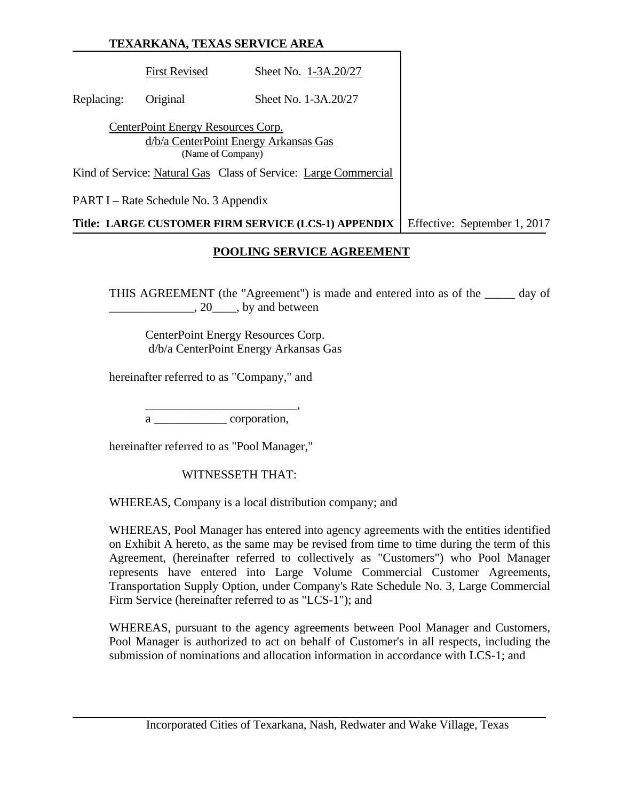First Revised Sheet No. 1-3A.20/27 Replacing: Original Sheet No. 1-3A.20/27 CenterPoint Energy Resources Corp. d/b/a CenterPoint Energy Arkansas Gas (Name of Company) Kind of Service: Natural Gas Class of Service: Large Commercial PART I – Rate Schedule No. 3 Appendix **Title: LARGE CUSTOMER FIRM SERVICE (LCS-1) APPENDIX** Effective: September 1, 2017

#### **POOLING SERVICE AGREEMENT**

THIS AGREEMENT (the "Agreement") is made and entered into as of the \_\_\_\_\_ day of \_\_\_\_\_\_\_\_\_\_\_\_\_\_, 20\_\_\_\_, by and between

 CenterPoint Energy Resources Corp. d/b/a CenterPoint Energy Arkansas Gas

hereinafter referred to as "Company," and

 $\overline{\phantom{a}}\phantom{a}$  ,  $\overline{\phantom{a}}\phantom{a}$  ,  $\overline{\phantom{a}}\phantom{a}$  ,  $\overline{\phantom{a}}\phantom{a}$  ,  $\overline{\phantom{a}}\phantom{a}$  ,  $\overline{\phantom{a}}\phantom{a}$  ,  $\overline{\phantom{a}}\phantom{a}$  ,  $\overline{\phantom{a}}\phantom{a}$  ,  $\overline{\phantom{a}}\phantom{a}$  ,  $\overline{\phantom{a}}\phantom{a}$  ,  $\overline{\phantom{a}}\phantom{a}$  , a corporation,

hereinafter referred to as "Pool Manager,"

WITNESSETH THAT:

WHEREAS, Company is a local distribution company; and

WHEREAS, Pool Manager has entered into agency agreements with the entities identified on Exhibit A hereto, as the same may be revised from time to time during the term of this Agreement, (hereinafter referred to collectively as "Customers") who Pool Manager represents have entered into Large Volume Commercial Customer Agreements, Transportation Supply Option, under Company's Rate Schedule No. 3, Large Commercial Firm Service (hereinafter referred to as "LCS-1"); and

WHEREAS, pursuant to the agency agreements between Pool Manager and Customers, Pool Manager is authorized to act on behalf of Customer's in all respects, including the submission of nominations and allocation information in accordance with LCS-1; and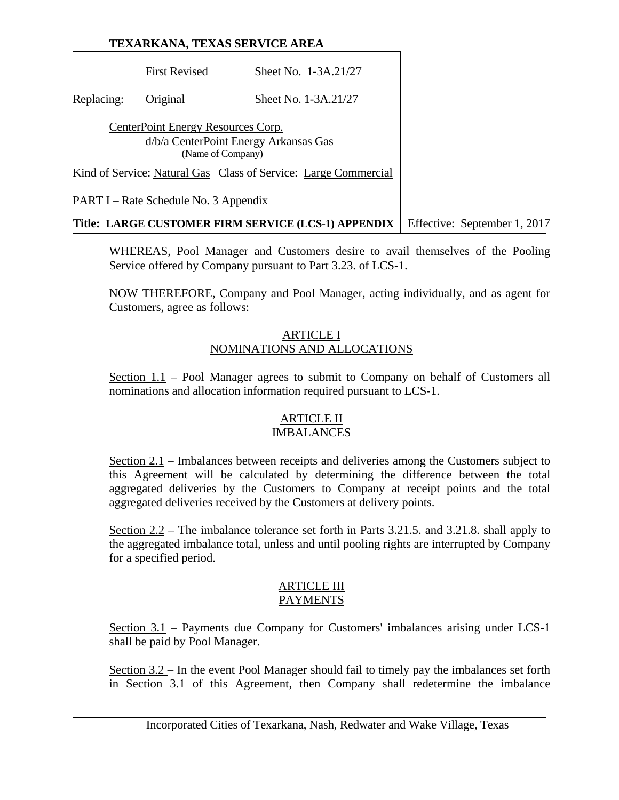First Revised Sheet No. 1-3A.21/27 Replacing: Original Sheet No. 1-3A.21/27 CenterPoint Energy Resources Corp. d/b/a CenterPoint Energy Arkansas Gas (Name of Company) Kind of Service: Natural Gas Class of Service: Large Commercial PART I – Rate Schedule No. 3 Appendix **Title: LARGE CUSTOMER FIRM SERVICE (LCS-1) APPENDIX** Effective: September 1, 2017

WHEREAS, Pool Manager and Customers desire to avail themselves of the Pooling Service offered by Company pursuant to Part 3.23. of LCS-1.

NOW THEREFORE, Company and Pool Manager, acting individually, and as agent for Customers, agree as follows:

#### ARTICLE I NOMINATIONS AND ALLOCATIONS

Section 1.1 – Pool Manager agrees to submit to Company on behalf of Customers all nominations and allocation information required pursuant to LCS-1.

#### ARTICLE II IMBALANCES

Section 2.1 – Imbalances between receipts and deliveries among the Customers subject to this Agreement will be calculated by determining the difference between the total aggregated deliveries by the Customers to Company at receipt points and the total aggregated deliveries received by the Customers at delivery points.

Section 2.2 – The imbalance tolerance set forth in Parts 3.21.5. and 3.21.8. shall apply to the aggregated imbalance total, unless and until pooling rights are interrupted by Company for a specified period.

#### ARTICLE III PAYMENTS

Section 3.1 – Payments due Company for Customers' imbalances arising under LCS-1 shall be paid by Pool Manager.

Section 3.2 – In the event Pool Manager should fail to timely pay the imbalances set forth in Section 3.1 of this Agreement, then Company shall redetermine the imbalance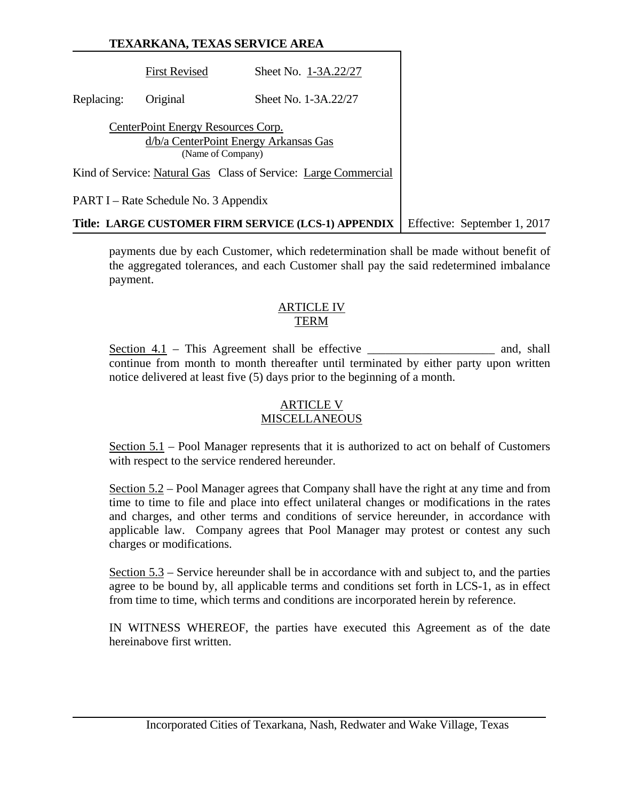First Revised Sheet No. 1-3A.22/27 Replacing: Original Sheet No. 1-3A.22/27 CenterPoint Energy Resources Corp. d/b/a CenterPoint Energy Arkansas Gas (Name of Company) Kind of Service: Natural Gas Class of Service: Large Commercial PART I – Rate Schedule No. 3 Appendix **Title: LARGE CUSTOMER FIRM SERVICE (LCS-1) APPENDIX** Effective: September 1, 2017

payments due by each Customer, which redetermination shall be made without benefit of the aggregated tolerances, and each Customer shall pay the said redetermined imbalance payment.

#### ARTICLE IV TERM

Section  $4.1$  – This Agreement shall be effective \_\_\_\_\_\_\_\_\_\_\_\_\_\_\_\_\_\_\_\_\_ and, shall continue from month to month thereafter until terminated by either party upon written notice delivered at least five (5) days prior to the beginning of a month.

# ARTICLE V

# **MISCELLANEOUS**

Section 5.1 – Pool Manager represents that it is authorized to act on behalf of Customers with respect to the service rendered hereunder.

Section 5.2 – Pool Manager agrees that Company shall have the right at any time and from time to time to file and place into effect unilateral changes or modifications in the rates and charges, and other terms and conditions of service hereunder, in accordance with applicable law. Company agrees that Pool Manager may protest or contest any such charges or modifications.

Section 5.3 – Service hereunder shall be in accordance with and subject to, and the parties agree to be bound by, all applicable terms and conditions set forth in LCS-1, as in effect from time to time, which terms and conditions are incorporated herein by reference.

IN WITNESS WHEREOF, the parties have executed this Agreement as of the date hereinabove first written.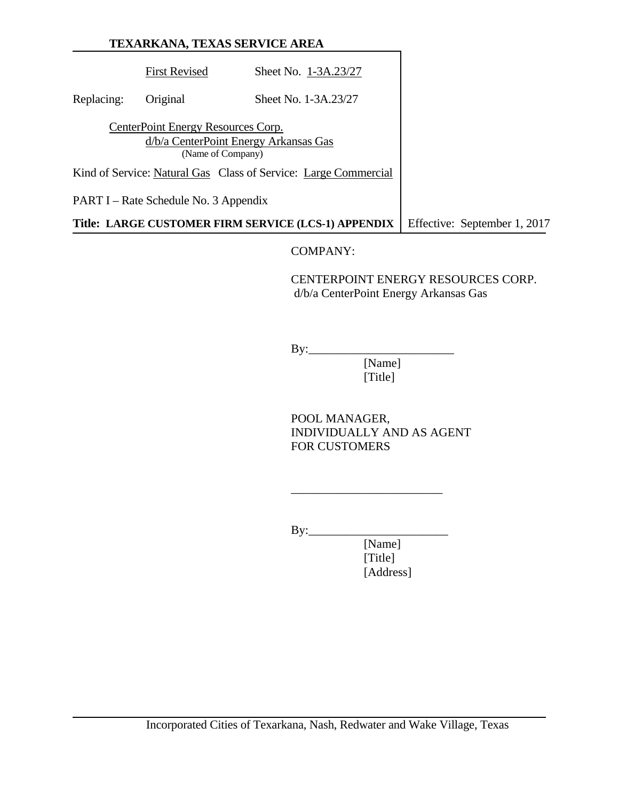# **TEXARKANA, TEXAS SERVICE AREA** First Revised Sheet No. 1-3A.23/27 Replacing: Original Sheet No. 1-3A.23/27 CenterPoint Energy Resources Corp. d/b/a CenterPoint Energy Arkansas Gas (Name of Company) Kind of Service: Natural Gas Class of Service: Large Commercial PART I – Rate Schedule No. 3 Appendix **Title: LARGE CUSTOMER FIRM SERVICE (LCS-1) APPENDIX** Effective: September 1, 2017

# COMPANY:

 CENTERPOINT ENERGY RESOURCES CORP. d/b/a CenterPoint Energy Arkansas Gas

 $By:$ 

 [Name] [Title]

 POOL MANAGER, INDIVIDUALLY AND AS AGENT FOR CUSTOMERS

 $By:$ 

 $\frac{1}{2}$  , and the contract of the contract of the contract of the contract of the contract of the contract of the contract of the contract of the contract of the contract of the contract of the contract of the contract

 [Name] [Title] [Address]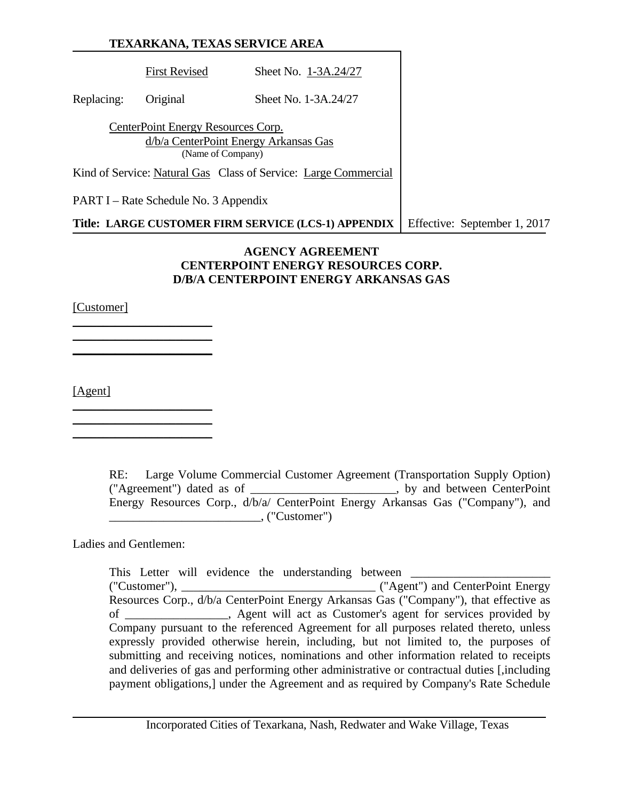|            |                                                         | TEXARKANA, TEXAS SERVICE AREA                                   |                              |
|------------|---------------------------------------------------------|-----------------------------------------------------------------|------------------------------|
|            | <b>First Revised</b>                                    | Sheet No. 1-3A.24/27                                            |                              |
| Replacing: | Original                                                | Sheet No. 1-3A.24/27                                            |                              |
|            | CenterPoint Energy Resources Corp.<br>(Name of Company) | d/b/a CenterPoint Energy Arkansas Gas                           |                              |
|            |                                                         | Kind of Service: Natural Gas Class of Service: Large Commercial |                              |
|            | PART I – Rate Schedule No. 3 Appendix                   |                                                                 |                              |
|            |                                                         | Title: LARGE CUSTOMER FIRM SERVICE (LCS-1) APPENDIX             | Effective: September 1, 2017 |

#### **AGENCY AGREEMENT CENTERPOINT ENERGY RESOURCES CORP. D/B/A CENTERPOINT ENERGY ARKANSAS GAS**

[Customer]

\_\_\_\_\_\_\_\_\_\_\_\_\_\_\_\_\_\_\_\_\_\_\_ \_\_\_\_\_\_\_\_\_\_\_\_\_\_\_\_\_\_\_\_\_\_\_  $\overline{\phantom{a}}$  , where  $\overline{\phantom{a}}$  , where  $\overline{\phantom{a}}$  , where  $\overline{\phantom{a}}$ 

\_\_\_\_\_\_\_\_\_\_\_\_\_\_\_\_\_\_\_\_\_\_\_  $\overline{\phantom{a}}$  , where  $\overline{\phantom{a}}$  , where  $\overline{\phantom{a}}$  , where  $\overline{\phantom{a}}$  $\overline{\phantom{a}}$  , where  $\overline{\phantom{a}}$  , where  $\overline{\phantom{a}}$  , where  $\overline{\phantom{a}}$ 

[Agent]

RE: Large Volume Commercial Customer Agreement (Transportation Supply Option) ("Agreement") dated as of \_\_\_\_\_\_\_\_\_\_\_\_\_\_\_\_\_\_\_\_\_\_\_\_, by and between CenterPoint Energy Resources Corp., d/b/a/ CenterPoint Energy Arkansas Gas ("Company"), and \_\_\_\_\_\_\_\_\_\_\_\_\_\_\_\_\_\_\_\_\_\_\_\_\_, ("Customer")

Ladies and Gentlemen:

This Letter will evidence the understanding between ("Customer"), \_\_\_\_\_\_\_\_\_\_\_\_\_\_\_\_\_\_\_\_\_\_\_\_\_\_\_\_\_\_\_\_ ("Agent") and CenterPoint Energy Resources Corp., d/b/a CenterPoint Energy Arkansas Gas ("Company"), that effective as of \_\_\_\_\_\_\_\_\_\_\_\_\_\_\_\_\_, Agent will act as Customer's agent for services provided by Company pursuant to the referenced Agreement for all purposes related thereto, unless expressly provided otherwise herein, including, but not limited to, the purposes of submitting and receiving notices, nominations and other information related to receipts and deliveries of gas and performing other administrative or contractual duties [,including payment obligations,] under the Agreement and as required by Company's Rate Schedule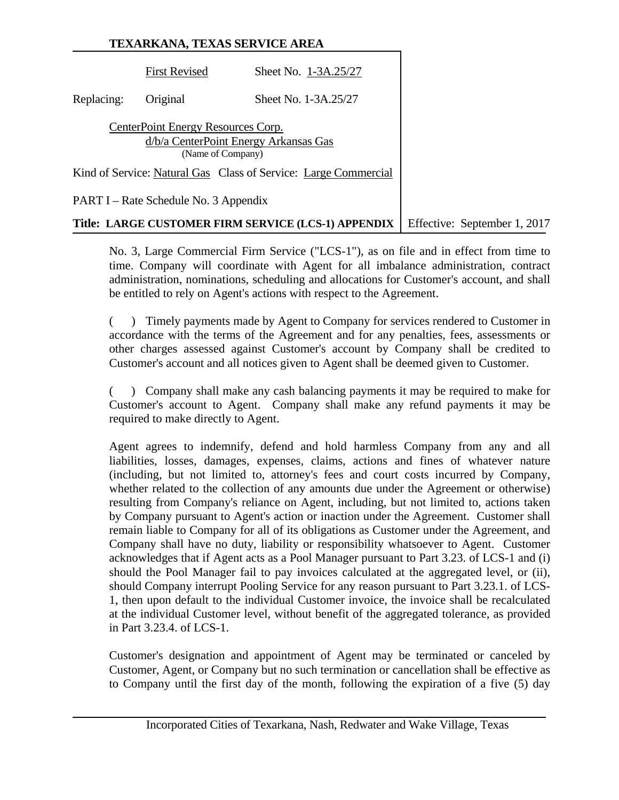|            | <b>First Revised</b>                                                                             | Sheet No. 1-3A.25/27                                            |                              |
|------------|--------------------------------------------------------------------------------------------------|-----------------------------------------------------------------|------------------------------|
| Replacing: | Original                                                                                         | Sheet No. 1-3A.25/27                                            |                              |
|            | CenterPoint Energy Resources Corp.<br>d/b/a CenterPoint Energy Arkansas Gas<br>(Name of Company) |                                                                 |                              |
|            |                                                                                                  | Kind of Service: Natural Gas Class of Service: Large Commercial |                              |
|            | PART I – Rate Schedule No. 3 Appendix                                                            |                                                                 |                              |
|            |                                                                                                  | Title: LARGE CUSTOMER FIRM SERVICE (LCS-1) APPENDIX             | Effective: September 1, 2017 |

No. 3, Large Commercial Firm Service ("LCS-1"), as on file and in effect from time to time. Company will coordinate with Agent for all imbalance administration, contract administration, nominations, scheduling and allocations for Customer's account, and shall be entitled to rely on Agent's actions with respect to the Agreement.

( ) Timely payments made by Agent to Company for services rendered to Customer in accordance with the terms of the Agreement and for any penalties, fees, assessments or other charges assessed against Customer's account by Company shall be credited to Customer's account and all notices given to Agent shall be deemed given to Customer.

( ) Company shall make any cash balancing payments it may be required to make for Customer's account to Agent. Company shall make any refund payments it may be required to make directly to Agent.

Agent agrees to indemnify, defend and hold harmless Company from any and all liabilities, losses, damages, expenses, claims, actions and fines of whatever nature (including, but not limited to, attorney's fees and court costs incurred by Company, whether related to the collection of any amounts due under the Agreement or otherwise) resulting from Company's reliance on Agent, including, but not limited to, actions taken by Company pursuant to Agent's action or inaction under the Agreement. Customer shall remain liable to Company for all of its obligations as Customer under the Agreement, and Company shall have no duty, liability or responsibility whatsoever to Agent. Customer acknowledges that if Agent acts as a Pool Manager pursuant to Part 3.23. of LCS-1 and (i) should the Pool Manager fail to pay invoices calculated at the aggregated level, or (ii), should Company interrupt Pooling Service for any reason pursuant to Part 3.23.1. of LCS-1, then upon default to the individual Customer invoice, the invoice shall be recalculated at the individual Customer level, without benefit of the aggregated tolerance, as provided in Part 3.23.4. of LCS-1.

Customer's designation and appointment of Agent may be terminated or canceled by Customer, Agent, or Company but no such termination or cancellation shall be effective as to Company until the first day of the month, following the expiration of a five (5) day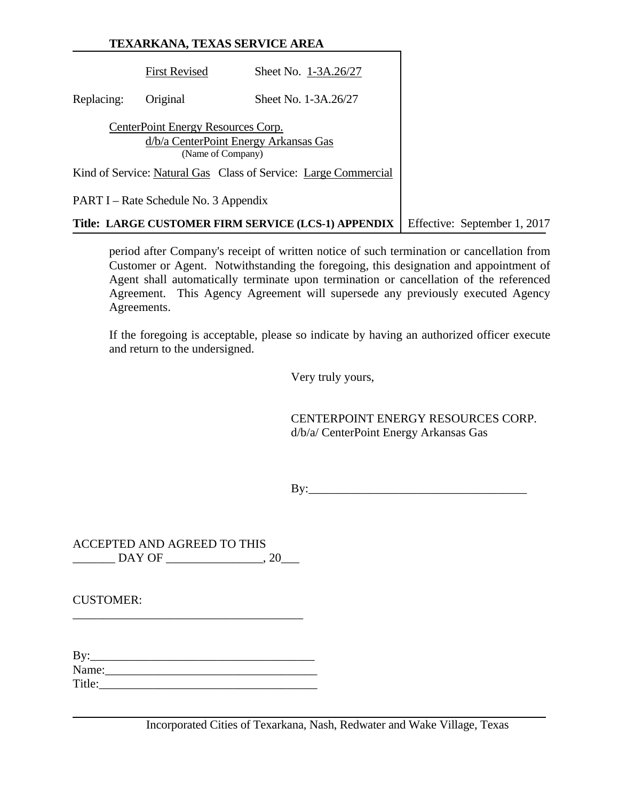| <b>TEXARKANA, TEXAS SERVICE AREA</b> |  |
|--------------------------------------|--|
|                                      |  |

|                                                            |                                       | Title: LARGE CUSTOMER FIRM SERVICE (LCS-1) APPENDIX             |  | Effective: September 1, 2017 |
|------------------------------------------------------------|---------------------------------------|-----------------------------------------------------------------|--|------------------------------|
|                                                            | PART I – Rate Schedule No. 3 Appendix |                                                                 |  |                              |
|                                                            |                                       | Kind of Service: Natural Gas Class of Service: Large Commercial |  |                              |
| d/b/a CenterPoint Energy Arkansas Gas<br>(Name of Company) |                                       |                                                                 |  |                              |
|                                                            | CenterPoint Energy Resources Corp.    |                                                                 |  |                              |
| Replacing:                                                 | Original                              | Sheet No. 1-3A.26/27                                            |  |                              |
|                                                            | <b>First Revised</b>                  | Sheet No. 1-3A.26/27                                            |  |                              |

period after Company's receipt of written notice of such termination or cancellation from Customer or Agent. Notwithstanding the foregoing, this designation and appointment of Agent shall automatically terminate upon termination or cancellation of the referenced Agreement. This Agency Agreement will supersede any previously executed Agency Agreements.

If the foregoing is acceptable, please so indicate by having an authorized officer execute and return to the undersigned.

Very truly yours,

 CENTERPOINT ENERGY RESOURCES CORP. d/b/a/ CenterPoint Energy Arkansas Gas

 $\rm\,By:\,$ 

ACCEPTED AND AGREED TO THIS \_\_\_\_\_\_\_ DAY OF \_\_\_\_\_\_\_\_\_\_\_\_\_\_\_\_, 20\_\_\_

\_\_\_\_\_\_\_\_\_\_\_\_\_\_\_\_\_\_\_\_\_\_\_\_\_\_\_\_\_\_\_\_\_\_\_\_\_\_

CUSTOMER:

| By:    |  |  |  |
|--------|--|--|--|
| Name:  |  |  |  |
| Title: |  |  |  |